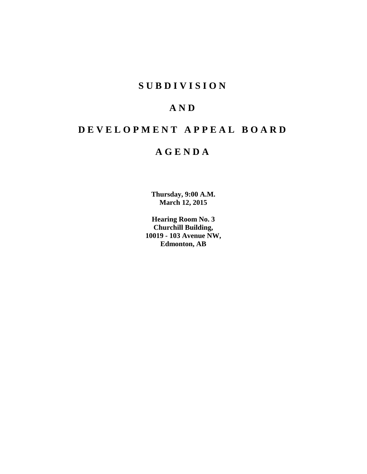# **S U B D I V I S I O N**

# **A N D**

# **D E V E L O P M E N T A P P E A L B O A R D**

# **A G E N D A**

**Thursday, 9:00 A.M. March 12, 2015**

**Hearing Room No. 3 Churchill Building, 10019 - 103 Avenue NW, Edmonton, AB**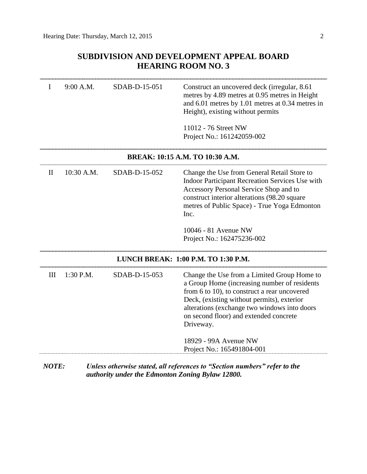# **SUBDIVISION AND DEVELOPMENT APPEAL BOARD HEARING ROOM NO. 3**

| I | 9:00 A.M.   | SDAB-D-15-051 | Construct an uncovered deck (irregular, 8.61)<br>metres by 4.89 metres at 0.95 metres in Height<br>and 6.01 metres by 1.01 metres at 0.34 metres in<br>Height), existing without permits                                                                                                         |
|---|-------------|---------------|--------------------------------------------------------------------------------------------------------------------------------------------------------------------------------------------------------------------------------------------------------------------------------------------------|
|   |             |               | 11012 - 76 Street NW<br>Project No.: 161242059-002                                                                                                                                                                                                                                               |
|   |             |               | BREAK: 10:15 A.M. TO 10:30 A.M.                                                                                                                                                                                                                                                                  |
| H | 10:30 A.M.  | SDAB-D-15-052 | Change the Use from General Retail Store to<br>Indoor Participant Recreation Services Use with<br>Accessory Personal Service Shop and to<br>construct interior alterations (98.20 square<br>metres of Public Space) - True Yoga Edmonton<br>Inc.                                                 |
|   |             |               | 10046 - 81 Avenue NW<br>Project No.: 162475236-002                                                                                                                                                                                                                                               |
|   |             |               | LUNCH BREAK: 1:00 P.M. TO 1:30 P.M.                                                                                                                                                                                                                                                              |
| Ш | $1:30$ P.M. | SDAB-D-15-053 | Change the Use from a Limited Group Home to<br>a Group Home (increasing number of residents<br>from 6 to 10), to construct a rear uncovered<br>Deck, (existing without permits), exterior<br>alterations (exchange two windows into doors<br>on second floor) and extended concrete<br>Driveway. |
|   |             |               | 18929 - 99A Avenue NW<br>Project No.: 165491804-001                                                                                                                                                                                                                                              |

*NOTE: Unless otherwise stated, all references to "Section numbers" refer to the authority under the Edmonton Zoning Bylaw 12800.*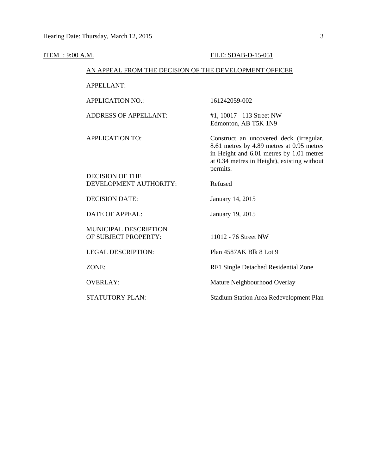| ITEM I: 9:00 A.M. |                                                        | FILE: SDAB-D-15-051                                                                                                                                                                         |
|-------------------|--------------------------------------------------------|---------------------------------------------------------------------------------------------------------------------------------------------------------------------------------------------|
|                   | AN APPEAL FROM THE DECISION OF THE DEVELOPMENT OFFICER |                                                                                                                                                                                             |
|                   | <b>APPELLANT:</b>                                      |                                                                                                                                                                                             |
|                   | <b>APPLICATION NO.:</b>                                | 161242059-002                                                                                                                                                                               |
|                   | <b>ADDRESS OF APPELLANT:</b>                           | #1, 10017 - 113 Street NW<br>Edmonton, AB T5K 1N9                                                                                                                                           |
|                   | <b>APPLICATION TO:</b>                                 | Construct an uncovered deck (irregular,<br>8.61 metres by 4.89 metres at 0.95 metres<br>in Height and 6.01 metres by 1.01 metres<br>at 0.34 metres in Height), existing without<br>permits. |
|                   | <b>DECISION OF THE</b><br>DEVELOPMENT AUTHORITY:       | Refused                                                                                                                                                                                     |
|                   | <b>DECISION DATE:</b>                                  | January 14, 2015                                                                                                                                                                            |
|                   | <b>DATE OF APPEAL:</b>                                 | January 19, 2015                                                                                                                                                                            |
|                   | MUNICIPAL DESCRIPTION<br>OF SUBJECT PROPERTY:          | 11012 - 76 Street NW                                                                                                                                                                        |
|                   | <b>LEGAL DESCRIPTION:</b>                              | Plan 4587AK Blk 8 Lot 9                                                                                                                                                                     |
|                   | ZONE:                                                  | RF1 Single Detached Residential Zone                                                                                                                                                        |
|                   | <b>OVERLAY:</b>                                        | Mature Neighbourhood Overlay                                                                                                                                                                |
|                   | <b>STATUTORY PLAN:</b>                                 | <b>Stadium Station Area Redevelopment Plan</b>                                                                                                                                              |
|                   |                                                        |                                                                                                                                                                                             |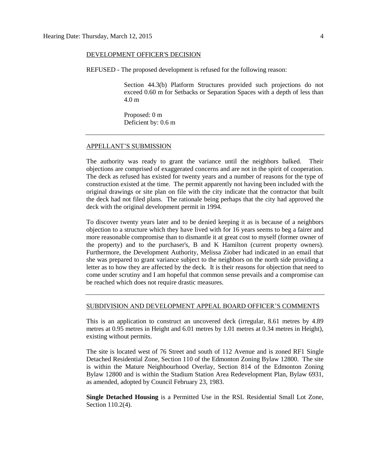#### DEVELOPMENT OFFICER'S DECISION

REFUSED - The proposed development is refused for the following reason:

Section 44.3(b) Platform Structures provided such projections do not exceed 0.60 m for Setbacks or Separation Spaces with a depth of less than 4.0 m

Proposed: 0 m Deficient by: 0.6 m

#### APPELLANT'S SUBMISSION

The authority was ready to grant the variance until the neighbors balked. Their objections are comprised of exaggerated concerns and are not in the spirit of cooperation. The deck as refused has existed for twenty years and a number of reasons for the type of construction existed at the time. The permit apparently not having been included with the original drawings or site plan on file with the city indicate that the contractor that built the deck had not filed plans. The rationale being perhaps that the city had approved the deck with the original development permit in 1994.

To discover twenty years later and to be denied keeping it as is because of a neighbors objection to a structure which they have lived with for 16 years seems to beg a fairer and more reasonable compromise than to dismantle it at great cost to myself (former owner of the property) and to the purchaser's, B and K Hamilton (current property owners). Furthermore, the Development Authority, Melissa Ziober had indicated in an email that she was prepared to grant variance subject to the neighbors on the north side providing a letter as to how they are affected by the deck. It is their reasons for objection that need to come under scrutiny and I am hopeful that common sense prevails and a compromise can be reached which does not require drastic measures.

#### SUBDIVISION AND DEVELOPMENT APPEAL BOARD OFFICER'S COMMENTS

This is an application to construct an uncovered deck (irregular, 8.61 metres by 4.89 metres at 0.95 metres in Height and 6.01 metres by 1.01 metres at 0.34 metres in Height), existing without permits.

The site is located west of 76 Street and south of 112 Avenue and is zoned RF1 Single Detached Residential Zone, Section 110 of the Edmonton Zoning Bylaw 12800. The site is within the Mature Neighbourhood Overlay, Section 814 of the Edmonton Zoning Bylaw 12800 and is within the Stadium Station Area Redevelopment Plan, Bylaw 6931, as amended, adopted by Council February 23, 1983.

**Single Detached Housing** is a Permitted Use in the RSL Residential Small Lot Zone, Section 110.2(4).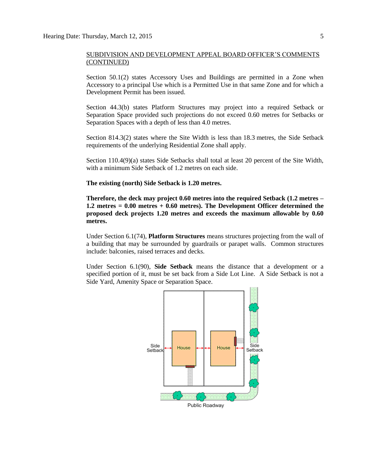Section 50.1(2) states Accessory Uses and Buildings are permitted in a Zone when Accessory to a principal Use which is a Permitted Use in that same Zone and for which a Development Permit has been issued.

Section 44.3(b) states Platform Structures may project into a required Setback or Separation Space provided such projections do not exceed 0.60 metres for Setbacks or Separation Spaces with a depth of less than 4.0 metres.

Section 814.3(2) states where the Site Width is less than [18.3](javascript:void(0);) metres, the Side Setback requirements of the underlying Residential Zone shall apply.

Section 110.4(9)(a) states Side Setbacks shall total at least 20 percent of the Site Width, with a minimum Side Setback of [1.2](javascript:void(0);) metres on each side.

#### **The existing (north) Side Setback is 1.20 metres.**

**Therefore, the deck may project 0.60 metres into the required Setback (1.2 metres – 1.2 metres = 0.00 metres + 0.60 metres). The Development Officer determined the proposed deck projects 1.20 metres and exceeds the maximum allowable by 0.60 metres.** 

Under Section 6.1(74), **Platform Structures** means structures projecting from the wall of a building that may be surrounded by guardrails or parapet walls. Common structures include: balconies, raised terraces and decks.

Under Section 6.1(90), **Side Setback** means the distance that a development or a specified portion of it, must be set back from a Side Lot Line. A Side Setback is not a Side Yard, Amenity Space or Separation Space.

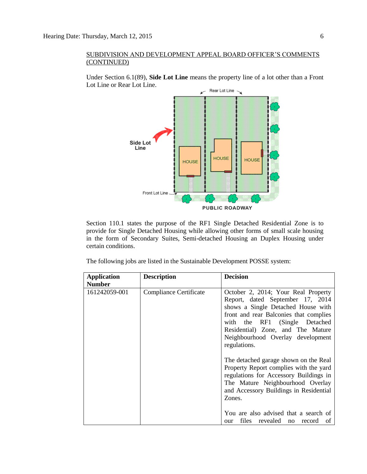Under Section 6.1(89), **Side Lot Line** means the property line of a lot other than a Front Lot Line or Rear Lot Line.



Section 110.1 states the purpose of the RF1 Single Detached Residential Zone is to provide for Single Detached Housing while allowing other forms of small scale housing in the form of Secondary Suites, Semi-detached Housing an Duplex Housing under certain conditions.

The following jobs are listed in the Sustainable Development POSSE system:

| <b>Application</b> | <b>Description</b>            | <b>Decision</b>                                                                                                                                                                                                   |
|--------------------|-------------------------------|-------------------------------------------------------------------------------------------------------------------------------------------------------------------------------------------------------------------|
| <b>Number</b>      |                               |                                                                                                                                                                                                                   |
| 161242059-001      | <b>Compliance Certificate</b> | October 2, 2014; Your Real Property<br>Report, dated September 17, 2014<br>shows a Single Detached House with<br>front and rear Balconies that complies                                                           |
|                    |                               | with the RF1 (Single Detached<br>Residential) Zone, and The Mature<br>Neighbourhood Overlay development<br>regulations.                                                                                           |
|                    |                               | The detached garage shown on the Real<br>Property Report complies with the yard<br>regulations for Accessory Buildings in<br>The Mature Neighbourhood Overlay<br>and Accessory Buildings in Residential<br>Zones. |
|                    |                               | You are also advised that a search of<br>files revealed no record<br>of<br>our                                                                                                                                    |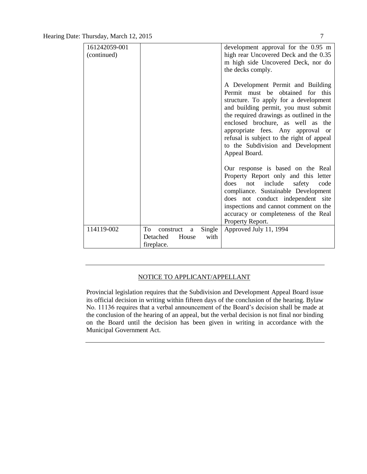| 161242059-001 |                                | development approval for the 0.95 m                                                                                                                                                                                                                                                                                                                                              |
|---------------|--------------------------------|----------------------------------------------------------------------------------------------------------------------------------------------------------------------------------------------------------------------------------------------------------------------------------------------------------------------------------------------------------------------------------|
| (continued)   |                                | high rear Uncovered Deck and the 0.35                                                                                                                                                                                                                                                                                                                                            |
|               |                                | m high side Uncovered Deck, nor do                                                                                                                                                                                                                                                                                                                                               |
|               |                                | the decks comply.                                                                                                                                                                                                                                                                                                                                                                |
|               |                                | A Development Permit and Building<br>Permit must be obtained for this<br>structure. To apply for a development<br>and building permit, you must submit<br>the required drawings as outlined in the<br>enclosed brochure, as well as the<br>appropriate fees. Any approval or<br>refusal is subject to the right of appeal<br>to the Subdivision and Development<br>Appeal Board. |
|               |                                | Our response is based on the Real<br>Property Report only and this letter<br>does<br>include<br>safety<br>code<br>not<br>compliance. Sustainable Development<br>does not conduct independent site<br>inspections and cannot comment on the<br>accuracy or completeness of the Real<br>Property Report.                                                                           |
| 114119-002    | Single<br>To<br>construct<br>a | Approved July 11, 1994                                                                                                                                                                                                                                                                                                                                                           |
|               | Detached<br>with<br>House      |                                                                                                                                                                                                                                                                                                                                                                                  |
|               | fireplace.                     |                                                                                                                                                                                                                                                                                                                                                                                  |

# NOTICE TO APPLICANT/APPELLANT

Provincial legislation requires that the Subdivision and Development Appeal Board issue its official decision in writing within fifteen days of the conclusion of the hearing. Bylaw No. 11136 requires that a verbal announcement of the Board's decision shall be made at the conclusion of the hearing of an appeal, but the verbal decision is not final nor binding on the Board until the decision has been given in writing in accordance with the Municipal Government Act.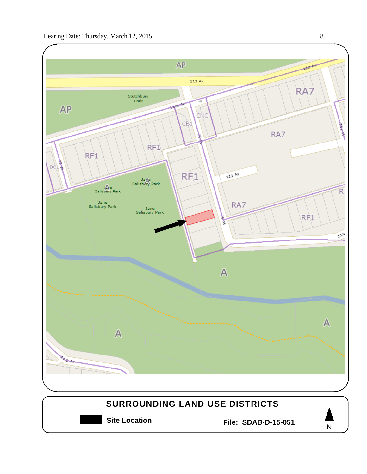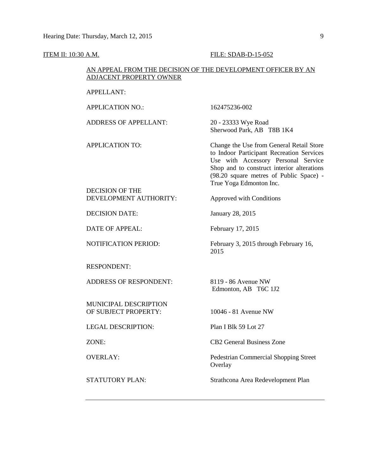#### **ITEM II: 10:30 A.M. FILE: SDAB-D-15-052**

#### AN APPEAL FROM THE DECISION OF THE DEVELOPMENT OFFICER BY AN ADJACENT PROPERTY OWNER

APPELLANT:

APPLICATION NO.: 162475236-002 ADDRESS OF APPELLANT: 20 - 23333 Wye Road Sherwood Park, AB T8B 1K4 APPLICATION TO: Change the Use from General Retail Store to Indoor Participant Recreation Services Use with Accessory Personal Service Shop and to construct interior alterations (98.20 square metres of Public Space) - True Yoga Edmonton Inc. DECISION OF THE DEVELOPMENT AUTHORITY: Approved with Conditions DECISION DATE: January 28, 2015 DATE OF APPEAL: February 17, 2015 NOTIFICATION PERIOD: February 3, 2015 through February 16, 2015 RESPONDENT: ADDRESS OF RESPONDENT: 8119 - 86 Avenue NW Edmonton, AB T6C 1J2 MUNICIPAL DESCRIPTION OF SUBJECT PROPERTY: 10046 - 81 Avenue NW LEGAL DESCRIPTION: Plan I Blk 59 Lot 27 ZONE: CB2 General Business Zone OVERLAY: Pedestrian Commercial Shopping Street **Overlay** STATUTORY PLAN: Strathcona Area Redevelopment Plan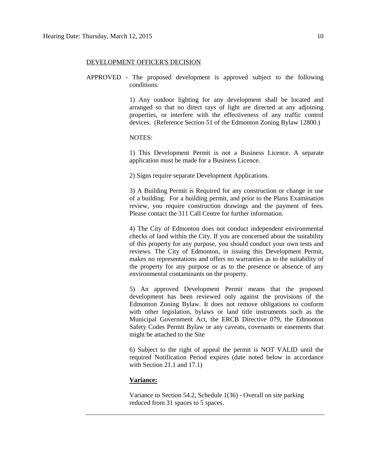#### DEVELOPMENT OFFICER'S DECISION

APPROVED - The proposed development is approved subject to the following conditions:

> 1) Any outdoor lighting for any development shall be located and arranged so that no direct rays of light are directed at any adjoining properties, or interfere with the effectiveness of any traffic control devices. (Reference Section 51 of the Edmonton Zoning Bylaw 12800.)

### NOTES:

1) This Development Permit is not a Business Licence. A separate application must be made for a Business Licence.

2) Signs require separate Development Applications.

3) A Building Permit is Required for any construction or change in use of a building. For a building permit, and prior to the Plans Examination review, you require construction drawings and the payment of fees. Please contact the 311 Call Centre for further information.

4) The City of Edmonton does not conduct independent environmental checks of land within the City. If you are concerned about the suitability of this property for any purpose, you should conduct your own tests and reviews. The City of Edmonton, in issuing this Development Permit, makes no representations and offers no warranties as to the suitability of the property for any purpose or as to the presence or absence of any environmental contaminants on the property.

5) An approved Development Permit means that the proposed development has been reviewed only against the provisions of the Edmonton Zoning Bylaw. It does not remove obligations to conform with other legislation, bylaws or land title instruments such as the Municipal Government Act, the ERCB Directive 079, the Edmonton Safety Codes Permit Bylaw or any caveats, covenants or easements that might be attached to the Site

6) Subject to the right of appeal the permit is NOT VALID until the required Notification Period expires (date noted below in accordance with Section 21.1 and 17.1)

#### **Variance:**

Variance to Section 54.2, Schedule 1(36) - Overall on site parking reduced from 31 spaces to 5 spaces.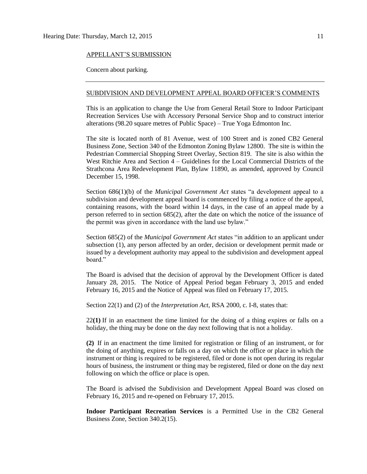#### APPELLANT'S SUBMISSION

Concern about parking.

#### SUBDIVISION AND DEVELOPMENT APPEAL BOARD OFFICER'S COMMENTS

This is an application to change the Use from General Retail Store to Indoor Participant Recreation Services Use with Accessory Personal Service Shop and to construct interior alterations (98.20 square metres of Public Space) – True Yoga Edmonton Inc.

The site is located north of 81 Avenue, west of 100 Street and is zoned CB2 General Business Zone, Section 340 of the Edmonton Zoning Bylaw 12800. The site is within the Pedestrian Commercial Shopping Street Overlay, Section 819. The site is also within the West Ritchie Area and Section 4 – Guidelines for the Local Commercial Districts of the Strathcona Area Redevelopment Plan, Bylaw 11890, as amended, approved by Council December 15, 1998.

Section 686(1)(b) of the *Municipal Government Act* states "a development appeal to a subdivision and development appeal board is commenced by filing a notice of the appeal, containing reasons, with the board within 14 days, in the case of an appeal made by a person referred to in section 685(2), after the date on which the notice of the issuance of the permit was given in accordance with the land use bylaw."

Section 685(2) of the *Municipal Government Act* states "in addition to an applicant under subsection (1), any person affected by an order, decision or development permit made or issued by a development authority may appeal to the subdivision and development appeal board."

The Board is advised that the decision of approval by the Development Officer is dated January 28, 2015. The Notice of Appeal Period began February 3, 2015 and ended February 16, 2015 and the Notice of Appeal was filed on February 17, 2015.

Section 22(1) and (2) of the *Interpretation Act*, RSA 2000, c. I-8, states that:

22**(1)** If in an enactment the time limited for the doing of a thing expires or falls on a holiday, the thing may be done on the day next following that is not a holiday.

**(2)** If in an enactment the time limited for registration or filing of an instrument, or for the doing of anything, expires or falls on a day on which the office or place in which the instrument or thing is required to be registered, filed or done is not open during its regular hours of business, the instrument or thing may be registered, filed or done on the day next following on which the office or place is open.

The Board is advised the Subdivision and Development Appeal Board was closed on February 16, 2015 and re-opened on February 17, 2015.

**Indoor Participant Recreation Services** is a Permitted Use in the CB2 General Business Zone, Section 340.2(15).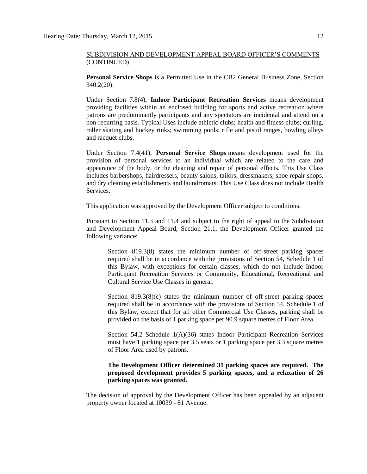**Personal Service Shops** is a Permitted Use in the CB2 General Business Zone, Section 340.2(20).

Under Section 7.8(4), **Indoor Participant Recreation Services** means development providing facilities within an enclosed building for sports and active recreation where patrons are predominantly participants and any spectators are incidental and attend on a non-recurring basis. Typical Uses include athletic clubs; health and fitness clubs; curling, roller skating and hockey rinks; swimming pools; rifle and pistol ranges, bowling alleys and racquet clubs.

Under Section 7.4(41), **Personal Service Shops** means development used for the provision of personal services to an individual which are related to the care and appearance of the body, or the cleaning and repair of personal effects. This Use Class includes barbershops, hairdressers, beauty salons, tailors, dressmakers, shoe repair shops, and dry cleaning establishments and laundromats. This Use Class does not include Health Services.

This application was approved by the Development Officer subject to conditions.

Pursuant to Section 11.3 and 11.4 and subject to the right of appeal to the Subdivision and Development Appeal Board, Section 21.1, the Development Officer granted the following variance:

Section 819.3(8) states the minimum number of off-street parking spaces required shall be in accordance with the provisions of Section 54, Schedule 1 of this Bylaw, with exceptions for certain classes, which do not include Indoor Participant Recreation Services or Community, Educational, Recreational and Cultural Service Use Classes in general.

Section  $819.3(8)(c)$  states the minimum number of off-street parking spaces required shall be in accordance with the provisions of Section 54, Schedule 1 of this Bylaw, except that for all other Commercial Use Classes, parking shall be provided on the basis of 1 parking space per 90.9 square metres of Floor Area.

Section 54.2 Schedule 1(A)(36) states Indoor Participant Recreation Services must have 1 parking space per 3.5 seats or 1 parking space per 3.3 square metres of Floor Area used by patrons.

## **The Development Officer determined 31 parking spaces are required. The proposed development provides 5 parking spaces, and a relaxation of 26 parking spaces was granted.**

The decision of approval by the Development Officer has been appealed by an adjacent property owner located at 10039 - 81 Avenue.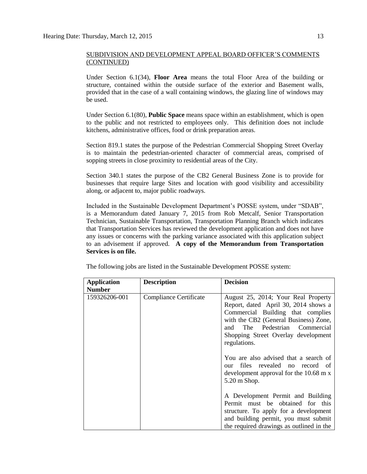Under Section 6.1(34), **Floor Area** means the total Floor Area of the building or structure, contained within the outside surface of the exterior and Basement walls, provided that in the case of a wall containing windows, the glazing line of windows may be used.

Under Section 6.1(80), **Public Space** means space within an establishment, which is open to the public and not restricted to employees only. This definition does not include kitchens, administrative offices, food or drink preparation areas.

Section 819.1 states the purpose of the Pedestrian Commercial Shopping Street Overlay is to maintain the pedestrian-oriented character of commercial areas, comprised of sopping streets in close proximity to residential areas of the City.

Section 340.1 states the purpose of the CB2 General Business Zone is to provide for businesses that require large Sites and location with good visibility and accessibility along, or adjacent to, major public roadways.

Included in the Sustainable Development Department's POSSE system, under "SDAB", is a Memorandum dated January 7, 2015 from Rob Metcalf, Senior Transportation Technician, Sustainable Transportation, Transportation Planning Branch which indicates that Transportation Services has reviewed the development application and does not have any issues or concerns with the parking variance associated with this application subject to an advisement if approved. **A copy of the Memorandum from Transportation Services is on file.**

| <b>Application</b> | <b>Description</b>     | <b>Decision</b>                                                                                                                                                                                                                                      |
|--------------------|------------------------|------------------------------------------------------------------------------------------------------------------------------------------------------------------------------------------------------------------------------------------------------|
| <b>Number</b>      |                        |                                                                                                                                                                                                                                                      |
| 159326206-001      | Compliance Certificate | August 25, 2014; Your Real Property<br>Report, dated April 30, 2014 shows a<br>Commercial Building that complies<br>with the CB2 (General Business) Zone,<br>The Pedestrian Commercial<br>and<br>Shopping Street Overlay development<br>regulations. |
|                    |                        | You are also advised that a search of<br>files revealed no record of<br>our<br>development approval for the 10.68 m x<br>5.20 m Shop.                                                                                                                |
|                    |                        | A Development Permit and Building<br>Permit must be obtained for this<br>structure. To apply for a development<br>and building permit, you must submit<br>the required drawings as outlined in the                                                   |

The following jobs are listed in the Sustainable Development POSSE system: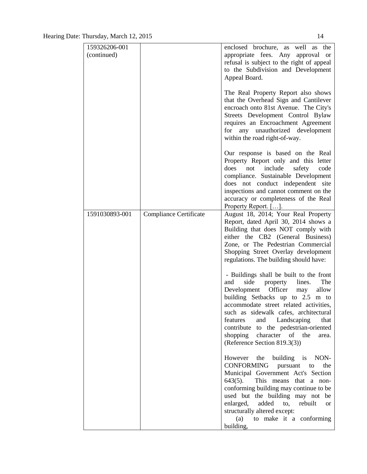| 159326206-001  |                               | enclosed brochure, as well as the                                            |
|----------------|-------------------------------|------------------------------------------------------------------------------|
| (continued)    |                               | appropriate fees. Any<br>approval<br><sub>or</sub>                           |
|                |                               | refusal is subject to the right of appeal                                    |
|                |                               | to the Subdivision and Development                                           |
|                |                               | Appeal Board.                                                                |
|                |                               |                                                                              |
|                |                               | The Real Property Report also shows                                          |
|                |                               | that the Overhead Sign and Cantilever                                        |
|                |                               | encroach onto 81st Avenue. The City's                                        |
|                |                               | Streets Development Control Bylaw                                            |
|                |                               | requires an Encroachment Agreement                                           |
|                |                               | for<br>any unauthorized development                                          |
|                |                               | within the road right-of-way.                                                |
|                |                               | Our response is based on the Real                                            |
|                |                               | Property Report only and this letter                                         |
|                |                               | does<br>include<br>safety<br>not<br>code                                     |
|                |                               | compliance. Sustainable Development                                          |
|                |                               | does not conduct independent site                                            |
|                |                               | inspections and cannot comment on the                                        |
|                |                               | accuracy or completeness of the Real                                         |
|                |                               | Property Report. [].                                                         |
| 1591030893-001 | <b>Compliance Certificate</b> | August 18, 2014; Your Real Property                                          |
|                |                               | Report, dated April 30, 2014 shows a                                         |
|                |                               | Building that does NOT comply with                                           |
|                |                               | either the CB2 (General Business)                                            |
|                |                               | Zone, or The Pedestrian Commercial                                           |
|                |                               | Shopping Street Overlay development                                          |
|                |                               | regulations. The building should have:                                       |
|                |                               |                                                                              |
|                |                               | - Buildings shall be built to the front                                      |
|                |                               | and<br>side<br>lines.<br>The<br>property                                     |
|                |                               | Development Officer<br>allow<br>may                                          |
|                |                               | building Setbacks up to 2.5 m to<br>accommodate street related activities,   |
|                |                               |                                                                              |
|                |                               | such as sidewalk cafes, architectural<br>and Landscaping<br>features<br>that |
|                |                               | contribute to the pedestrian-oriented                                        |
|                |                               | shopping<br>character of the<br>area.                                        |
|                |                               | (Reference Section 819.3(3))                                                 |
|                |                               |                                                                              |
|                |                               | building is NON-<br>However the                                              |
|                |                               | CONFORMING<br>pursuant<br>the<br>to                                          |
|                |                               | Municipal Government Act's Section                                           |
|                |                               | $643(5)$ .<br>This means that a non-                                         |
|                |                               | conforming building may continue to be                                       |
|                |                               | used but the building may not be                                             |
|                |                               | enlarged,<br>added<br>to,<br>rebuilt<br><b>or</b>                            |
|                |                               | structurally altered except:                                                 |
|                |                               | (a) to make it a conforming                                                  |
|                |                               | building,                                                                    |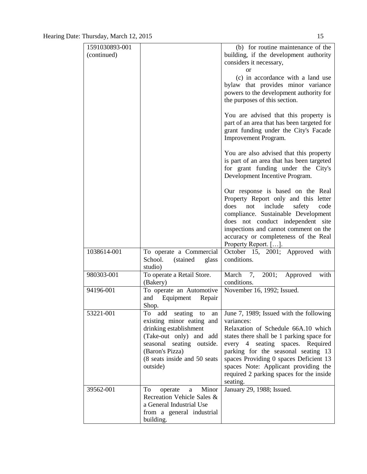| 1591030893-001 |                                                | (b) for routine maintenance of the                                         |
|----------------|------------------------------------------------|----------------------------------------------------------------------------|
| (continued)    |                                                | building, if the development authority                                     |
|                |                                                | considers it necessary,                                                    |
|                |                                                | or                                                                         |
|                |                                                | (c) in accordance with a land use                                          |
|                |                                                | bylaw that provides minor variance                                         |
|                |                                                | powers to the development authority for                                    |
|                |                                                | the purposes of this section.                                              |
|                |                                                | You are advised that this property is                                      |
|                |                                                | part of an area that has been targeted for                                 |
|                |                                                | grant funding under the City's Facade                                      |
|                |                                                | Improvement Program.                                                       |
|                |                                                | You are also advised that this property                                    |
|                |                                                | is part of an area that has been targeted                                  |
|                |                                                | for grant funding under the City's                                         |
|                |                                                | Development Incentive Program.                                             |
|                |                                                | Our response is based on the Real                                          |
|                |                                                | Property Report only and this letter                                       |
|                |                                                | does<br>not<br>include<br>safety<br>code                                   |
|                |                                                | compliance. Sustainable Development                                        |
|                |                                                | does not conduct independent site<br>inspections and cannot comment on the |
|                |                                                | accuracy or completeness of the Real                                       |
|                |                                                | Property Report. [].                                                       |
| 1038614-001    | To operate a Commercial                        | October 15, 2001; Approved with                                            |
|                | School.<br>(stained)<br>glass                  | conditions.                                                                |
|                | studio)                                        |                                                                            |
| 980303-001     | To operate a Retail Store.                     | March 7, 2001;<br>Approved<br>with                                         |
| 94196-001      | (Bakery)<br>To operate an Automotive           | conditions.<br>November 16, 1992; Issued.                                  |
|                | and<br>Equipment<br>Repair                     |                                                                            |
|                | Shop.                                          |                                                                            |
| 53221-001      | $\overline{\text{To}}$<br>add seating to<br>an | June 7, 1989; Issued with the following                                    |
|                | existing minor eating and                      | variances:                                                                 |
|                | drinking establishment                         | Relaxation of Schedule 66A.10 which                                        |
|                | (Take-out only) and add                        | states there shall be 1 parking space for                                  |
|                | seasonal seating outside.                      | every 4 seating spaces. Required                                           |
|                | (Baron's Pizza)                                | parking for the seasonal seating 13                                        |
|                | (8 seats inside and 50 seats                   | spaces Providing 0 spaces Deficient 13                                     |
|                | outside)                                       | spaces Note: Applicant providing the                                       |
|                |                                                | required 2 parking spaces for the inside<br>seating.                       |
| 39562-001      | Minor<br>To<br>operate<br>a                    | January 29, 1988; Issued.                                                  |
|                | Recreation Vehicle Sales &                     |                                                                            |
|                | a General Industrial Use                       |                                                                            |
|                | from a general industrial                      |                                                                            |
|                | building.                                      |                                                                            |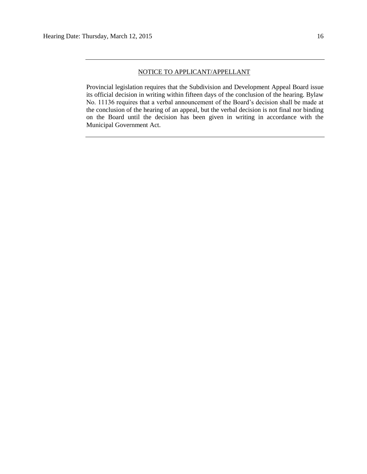Provincial legislation requires that the Subdivision and Development Appeal Board issue its official decision in writing within fifteen days of the conclusion of the hearing. Bylaw No. 11136 requires that a verbal announcement of the Board's decision shall be made at the conclusion of the hearing of an appeal, but the verbal decision is not final nor binding on the Board until the decision has been given in writing in accordance with the Municipal Government Act.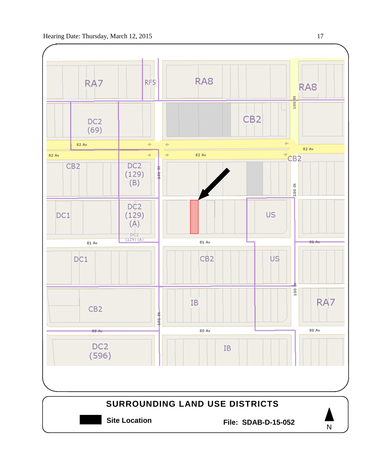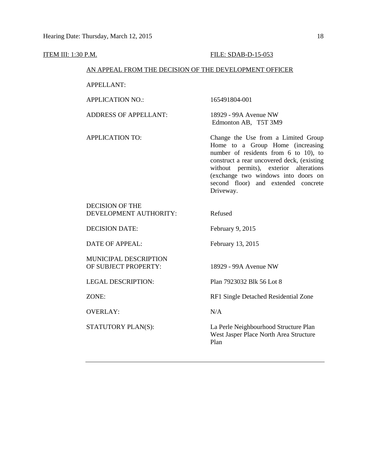| <u>ITEM III: 1:30 P.M.</u> |                                                        | FILE: SDAB-D-15-053                                                                                                                                                                                                                                                                                 |
|----------------------------|--------------------------------------------------------|-----------------------------------------------------------------------------------------------------------------------------------------------------------------------------------------------------------------------------------------------------------------------------------------------------|
|                            | AN APPEAL FROM THE DECISION OF THE DEVELOPMENT OFFICER |                                                                                                                                                                                                                                                                                                     |
|                            | <b>APPELLANT:</b>                                      |                                                                                                                                                                                                                                                                                                     |
|                            | <b>APPLICATION NO.:</b>                                | 165491804-001                                                                                                                                                                                                                                                                                       |
|                            | <b>ADDRESS OF APPELLANT:</b>                           | 18929 - 99A Avenue NW<br>Edmonton AB, T5T 3M9                                                                                                                                                                                                                                                       |
|                            | <b>APPLICATION TO:</b>                                 | Change the Use from a Limited Group<br>Home to a Group Home (increasing<br>number of residents from 6 to 10), to<br>construct a rear uncovered deck, (existing<br>without permits), exterior alterations<br>(exchange two windows into doors on<br>second floor) and extended concrete<br>Driveway. |
|                            | <b>DECISION OF THE</b><br>DEVELOPMENT AUTHORITY:       | Refused                                                                                                                                                                                                                                                                                             |
|                            | <b>DECISION DATE:</b>                                  | February 9, 2015                                                                                                                                                                                                                                                                                    |
|                            | <b>DATE OF APPEAL:</b>                                 | February 13, 2015                                                                                                                                                                                                                                                                                   |
|                            | MUNICIPAL DESCRIPTION<br>OF SUBJECT PROPERTY:          | 18929 - 99A Avenue NW                                                                                                                                                                                                                                                                               |
|                            | <b>LEGAL DESCRIPTION:</b>                              | Plan 7923032 Blk 56 Lot 8                                                                                                                                                                                                                                                                           |
|                            | ZONE:                                                  | RF1 Single Detached Residential Zone                                                                                                                                                                                                                                                                |
|                            | <b>OVERLAY:</b>                                        | N/A                                                                                                                                                                                                                                                                                                 |
|                            | STATUTORY PLAN(S):                                     | La Perle Neighbourhood Structure Plan<br>West Jasper Place North Area Structure<br>Plan                                                                                                                                                                                                             |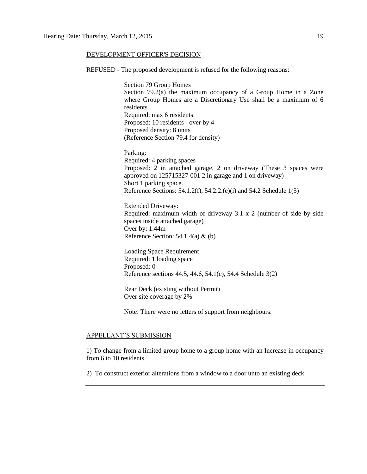#### DEVELOPMENT OFFICER'S DECISION

REFUSED - The proposed development is refused for the following reasons:

Section 79 Group Homes Section 79.2(a) the maximum occupancy of a Group Home in a Zone where Group Homes are a Discretionary Use shall be a maximum of 6 residents Required: max 6 residents Proposed: 10 residents - over by 4 Proposed density: 8 units (Reference Section 79.4 for density)

Parking: Required: 4 parking spaces Proposed: 2 in attached garage, 2 on driveway (These 3 spaces were approved on 125715327-001 2 in garage and 1 on driveway) Short 1 parking space. Reference Sections: 54.1.2(f), 54.2.2.(e)(i) and 54.2 Schedule 1(5)

Extended Driveway: Required: maximum width of driveway 3.1 x 2 (number of side by side spaces inside attached garage) Over by: 1.44m Reference Section: 54.1.4(a) & (b)

Loading Space Requirement Required: 1 loading space Proposed: 0 Reference sections 44.5, 44.6, 54.1(c), 54.4 Schedule 3(2)

Rear Deck (existing without Permit) Over site coverage by 2%

Note: There were no letters of support from neighbours.

#### APPELLANT'S SUBMISSION

1) To change from a limited group home to a group home with an Increase in occupancy from 6 to 10 residents.

2) To construct exterior alterations from a window to a door unto an existing deck.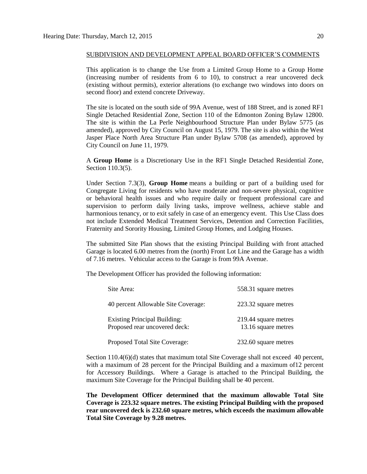This application is to change the Use from a Limited Group Home to a Group Home (increasing number of residents from 6 to 10), to construct a rear uncovered deck (existing without permits), exterior alterations (to exchange two windows into doors on second floor) and extend concrete Driveway.

The site is located on the south side of 99A Avenue, west of 188 Street, and is zoned RF1 Single Detached Residential Zone, Section 110 of the Edmonton Zoning Bylaw 12800. The site is within the La Perle Neighbourhood Structure Plan under Bylaw 5775 (as amended), approved by City Council on August 15, 1979. The site is also within the West Jasper Place North Area Structure Plan under Bylaw 5708 (as amended), approved by City Council on June 11, 1979.

A **Group Home** is a Discretionary Use in the RF1 Single Detached Residential Zone, Section 110.3(5).

Under Section 7.3(3), **Group Home** means a building or part of a building used for Congregate Living for residents who have moderate and non-severe physical, cognitive or behavioral health issues and who require daily or frequent professional care and supervision to perform daily living tasks, improve wellness, achieve stable and harmonious tenancy, or to exit safely in case of an emergency event. This Use Class does not include Extended Medical Treatment Services, Detention and Correction Facilities, Fraternity and Sorority Housing, Limited Group Homes, and Lodging Houses.

The submitted Site Plan shows that the existing Principal Building with front attached Garage is located 6.00 metres from the (north) Front Lot Line and the Garage has a width of 7.16 metres. Vehicular access to the Garage is from 99A Avenue.

The Development Officer has provided the following information:

| Site Area:                                                           | 558.31 square metres                        |
|----------------------------------------------------------------------|---------------------------------------------|
| 40 percent Allowable Site Coverage:                                  | 223.32 square metres                        |
| <b>Existing Principal Building:</b><br>Proposed rear uncovered deck: | 219.44 square metres<br>13.16 square metres |
| Proposed Total Site Coverage:                                        | 232.60 square metres                        |

Section 110.4(6)(d) states that maximum total Site Coverage shall not exceed 40 percent, with a maximum of 28 percent for the Principal Building and a maximum of12 percent for Accessory Buildings. Where a Garage is attached to the Principal Building, the maximum Site Coverage for the Principal Building shall be 40 percent.

**The Development Officer determined that the maximum allowable Total Site Coverage is 223.32 square metres. The existing Principal Building with the proposed rear uncovered deck is 232.60 square metres, which exceeds the maximum allowable Total Site Coverage by 9.28 metres.**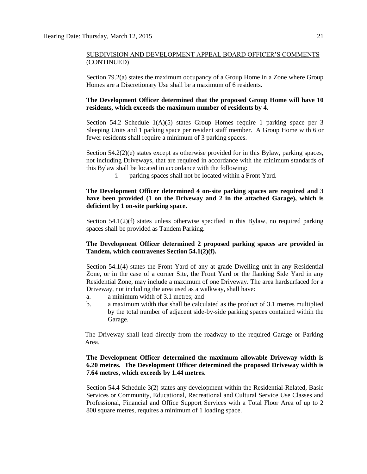Section 79.2(a) states the maximum occupancy of a Group Home in a Zone where Group Homes are a Discretionary Use shall be a maximum of 6 residents.

### **The Development Officer determined that the proposed Group Home will have 10 residents, which exceeds the maximum number of residents by 4.**

Section 54.2 Schedule  $1(A)(5)$  states Group Homes require 1 parking space per 3 Sleeping Units and 1 parking space per resident staff member. A Group Home with 6 or fewer residents shall require a minimum of 3 parking spaces.

Section  $54.2(2)(e)$  states except as otherwise provided for in this Bylaw, parking spaces, not including Driveways, that are required in accordance with the minimum standards of this Bylaw shall be located in accordance with the following:

i. parking spaces shall not be located within a Front Yard.

# **The Development Officer determined 4 on-site parking spaces are required and 3 have been provided (1 on the Driveway and 2 in the attached Garage), which is deficient by 1 on-site parking space.**

Section 54.1(2)(f) states unless otherwise specified in this Bylaw, no required parking spaces shall be provided as Tandem Parking.

## **The Development Officer determined 2 proposed parking spaces are provided in Tandem, which contravenes Section 54.1(2)(f).**

Section 54.1(4) states the Front Yard of any at-grade Dwelling unit in any Residential Zone, or in the case of a corner Site, the Front Yard or the flanking Side Yard in any Residential Zone, may include a maximum of one Driveway. The area hardsurfaced for a Driveway, not including the area used as a walkway, shall have:

- a. a minimum width of 3.1 metres; and
- b. a maximum width that shall be calculated as the product of 3.1 metres multiplied by the total number of adjacent side-by-side parking spaces contained within the Garage.

The Driveway shall lead directly from the roadway to the required Garage or Parking Area.

## **The Development Officer determined the maximum allowable Driveway width is 6.20 metres. The Development Officer determined the proposed Driveway width is 7.64 metres, which exceeds by 1.44 metres.**

Section 54.4 Schedule 3(2) states any development within the Residential-Related, Basic Services or Community, Educational, Recreational and Cultural Service Use Classes and Professional, Financial and Office Support Services with a Total Floor Area of up to 2 800 square metres, requires a minimum of 1 loading space.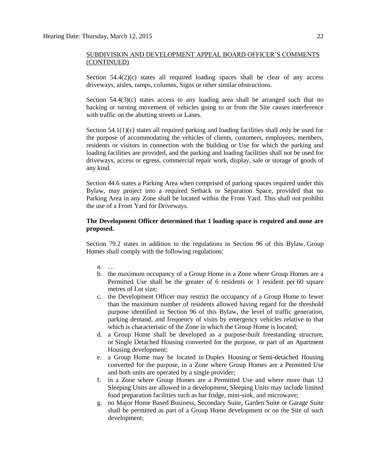Section  $54.4(2)(c)$  states all required loading spaces shall be clear of any access driveways, aisles, ramps, columns, Signs or other similar obstructions.

Section  $54.4(3)(c)$  states access to any loading area shall be arranged such that no backing or turning movement of vehicles going to or from the Site causes interference with traffic on the abutting streets or Lanes.

Section 54.1(1)(c) states all required parking and loading facilities shall only be used for the purpose of accommodating the vehicles of clients, customers, employees, members, residents or visitors in connection with the building or Use for which the parking and loading facilities are provided, and the parking and loading facilities shall not be used for driveways, access or egress, commercial repair work, display, sale or storage of goods of any kind.

Section 44.6 states a Parking Area when comprised of parking spaces required under this Bylaw, may project into a required Setback or Separation Space, provided that no Parking Area in any Zone shall be located within the Front Yard. This shall not prohibit the use of a Front Yard for Driveways.

#### **The Development Officer determined that 1 loading space is required and none are proposed.**

Section 79.2 states in addition to the regulations in Section 96 of this Bylaw, Group Homes shall comply with the following regulations:

- a. …
- b. the maximum occupancy of a Group Home in a Zone where Group Homes are a Permitted Use shall be the greater of 6 residents or 1 resident per 60 square metres of Lot size;
- c. the Development Officer may restrict the occupancy of a Group Home to fewer than the maximum number of residents allowed having regard for the threshold purpose identified in Section 96 of this Bylaw, the level of traffic generation, parking demand, and frequency of visits by emergency vehicles relative to that which is characteristic of the Zone in which the Group Home is located;
- d. a Group Home shall be developed as a purpose-built freestanding structure, or Single Detached Housing converted for the purpose, or part of an Apartment Housing development;
- e. a Group Home may be located in Duplex Housing or Semi-detached Housing converted for the purpose, in a Zone where Group Homes are a Permitted Use and both units are operated by a single provider;
- f. in a Zone where Group Homes are a Permitted Use and where more than 12 Sleeping Units are allowed in a development, Sleeping Units may include limited food preparation facilities such as bar fridge, mini-sink, and microwave;
- g. no Major Home Based Business, Secondary Suite, Garden Suite or Garage Suite shall be permitted as part of a Group Home development or on the Site of such development;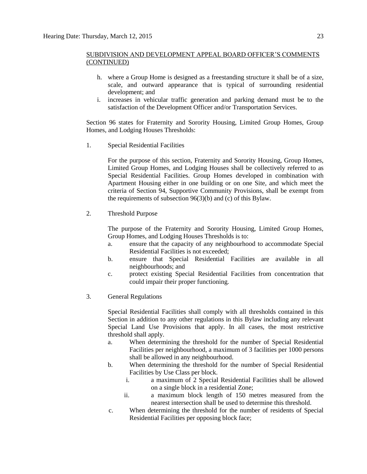- h. where a Group Home is designed as a freestanding structure it shall be of a size, scale, and outward appearance that is typical of surrounding residential development; and
- i. increases in vehicular traffic generation and parking demand must be to the satisfaction of the Development Officer and/or Transportation Services.

Section 96 states for Fraternity and Sorority Housing, Limited Group Homes, Group Homes, and Lodging Houses Thresholds:

1. Special Residential Facilities

For the purpose of this section, [Fraternity and Sorority](javascript:void(0);) Housing, [Group Homes,](javascript:void(0);) [Limited Group Homes,](javascript:void(0);) and [Lodging Houses](javascript:void(0);) shall be collectively referred to as Special Residential Facilities. Group Homes developed in combination with Apartment Housing either in one building or on one Site, and which meet the criteria of [Section 94,](http://webdocs.edmonton.ca/InfraPlan/zoningbylaw/ZoningBylaw/Part1/Special_Land/94._Supportive_Community_Provision.htm) Supportive Community Provisions, shall be exempt from the requirements of subsection 96(3)(b) and (c) of this Bylaw.

2. Threshold Purpose

The purpose of the Fraternity and Sorority Housing, Limited Group Homes, Group Homes, and Lodging Houses Thresholds is to:

- a. ensure that the capacity of any neighbourhood to accommodate Special Residential Facilities is not exceeded;
- b. ensure that Special Residential Facilities are available in all neighbourhoods; and
- c. protect existing Special Residential Facilities from concentration that could impair their proper functioning.
- 3. General Regulations

Special Residential Facilities shall comply with all thresholds contained in this Section in addition to any other regulations in this Bylaw including any relevant Special Land Use Provisions that apply. In all cases, the most restrictive threshold shall apply.

- a. When determining the threshold for the number of Special Residential Facilities per neighbourhood, a maximum of 3 facilities per 1000 persons shall be allowed in any neighbourhood.
- b. When determining the threshold for the number of Special Residential Facilities by Use Class per block.
	- i. a maximum of 2 Special Residential Facilities shall be allowed on a single block in a residential Zone;
	- ii. a maximum block length of [150 me](javascript:void(0);)tres measured from the nearest intersection shall be used to determine this threshold.
- c. When determining the threshold for the number of residents of Special Residential Facilities per opposing block face;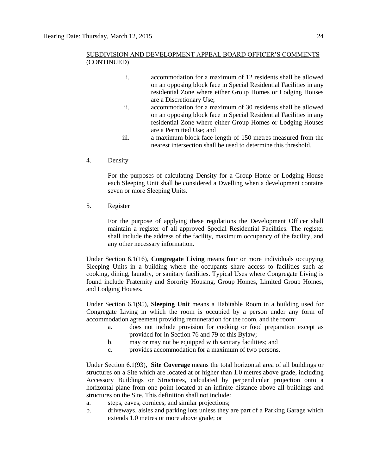- i. accommodation for a maximum of 12 residents shall be allowed on an opposing block face in Special Residential Facilities in any residential Zone where either Group Homes or Lodging Houses are a Discretionary Use;
- ii. accommodation for a maximum of 30 residents shall be allowed on an opposing block face in Special Residential Facilities in any residential Zone where either Group Homes or Lodging Houses are a Permitted Use; and
- iii. a maximum block face length of [150 me](javascript:void(0);)tres measured from the nearest intersection shall be used to determine this threshold.
- 4. Density

For the purposes of calculating Density for a Group Home or Lodging House each Sleeping Unit shall be considered a Dwelling when a development contains seven or more Sleeping Units.

5. Register

For the purpose of applying these regulations the Development Officer shall maintain a register of all approved Special Residential Facilities. The register shall include the address of the facility, maximum occupancy of the facility, and any other necessary information.

Under Section 6.1(16), **Congregate Living** means four or more individuals occupying Sleeping Units in a building where the occupants share access to facilities such as cooking, dining, laundry, or sanitary facilities. Typical Uses where Congregate Living is found include Fraternity and Sorority Housing, Group Homes, Limited Group Homes, and Lodging Houses.

Under Section 6.1(95), **Sleeping Unit** means a Habitable Room in a building used for Congregate Living in which the room is occupied by a person under any form of accommodation agreement providing remuneration for the room, and the room:

- a. does not include provision for cooking or food preparation except as provided for in Section 76 and 79 of this Bylaw;
- b. may or may not be equipped with sanitary facilities; and
- c. provides accommodation for a maximum of two persons.

Under Section 6.1(93), **Site Coverage** means the total horizontal area of all buildings or structures on a Site which are located at or higher than [1.0](javascript:void(0);) metres above grade, including Accessory Buildings or Structures, calculated by perpendicular projection onto a horizontal plane from one point located at an infinite distance above all buildings and structures on the Site. This definition shall not include:

a. steps, eaves, cornices, and similar projections;

b. driveways, aisles and parking lots unless they are part of a Parking Garage which extends [1.0](javascript:void(0);) metres or more above grade; or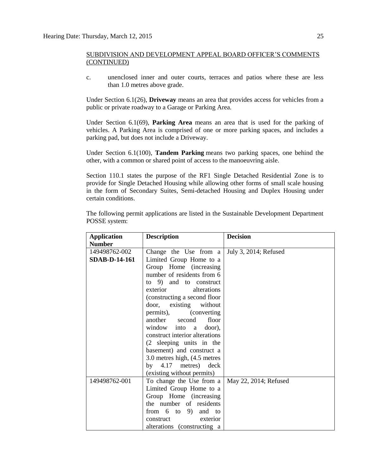c. unenclosed inner and outer courts, terraces and patios where these are less than [1.0](javascript:void(0);) metres above grade.

Under Section 6.1(26), **Driveway** means an area that provides access for vehicles from a public or private roadway to a Garage or Parking Area.

Under Section 6.1(69), **Parking Area** means an area that is used for the parking of vehicles. A Parking Area is comprised of one or more parking spaces, and includes a parking pad, but does not include a Driveway.

Under Section 6.1(100), **Tandem Parking** means two parking spaces, one behind the other, with a common or shared point of access to the manoeuvring aisle.

Section 110.1 states the purpose of the RF1 Single Detached Residential Zone is to provide for Single Detached Housing while allowing other forms of small scale housing in the form of Secondary Suites, Semi-detached Housing and Duplex Housing under certain conditions.

The following permit applications are listed in the Sustainable Development Department POSSE system:

| <b>Application</b>   | <b>Description</b>             | <b>Decision</b>       |
|----------------------|--------------------------------|-----------------------|
| <b>Number</b>        |                                |                       |
| 149498762-002        | Change the Use from a          | July 3, 2014; Refused |
| <b>SDAB-D-14-161</b> | Limited Group Home to a        |                       |
|                      | Group Home (increasing         |                       |
|                      | number of residents from 6     |                       |
|                      | to 9) and to construct         |                       |
|                      | exterior alterations           |                       |
|                      | (constructing a second floor   |                       |
|                      | door, existing without         |                       |
|                      | permits), (converting          |                       |
|                      | another second floor           |                       |
|                      | window into a door),           |                       |
|                      | construct interior alterations |                       |
|                      | (2 sleeping units in the       |                       |
|                      | basement) and construct a      |                       |
|                      | 3.0 metres high, (4.5 metres)  |                       |
|                      | by 4.17 metres) deck           |                       |
|                      | (existing without permits)     |                       |
| 149498762-001        | To change the Use from a       | May 22, 2014; Refused |
|                      | Limited Group Home to a        |                       |
|                      | Group Home (increasing         |                       |
|                      | the number of residents        |                       |
|                      | from $6$ to $9$ ) and to       |                       |
|                      | exterior<br>construct          |                       |
|                      | alterations (constructing a    |                       |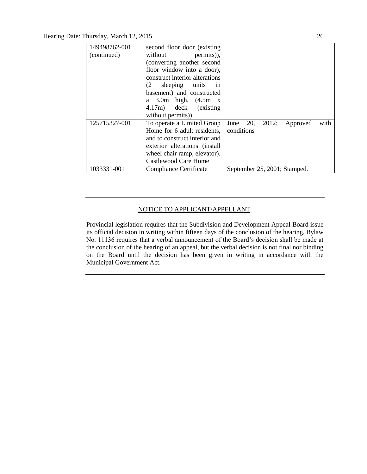Hearing Date: Thursday, March 12, 2015 26

| 149498762-001 | second floor door (existing)   |                                    |
|---------------|--------------------------------|------------------------------------|
| (continued)   | permits)),<br>without          |                                    |
|               | (converting another second     |                                    |
|               | floor window into a door),     |                                    |
|               | construct interior alterations |                                    |
|               | sleeping units<br>(2.<br>in    |                                    |
|               | basement) and constructed      |                                    |
|               | a $3.0m$ high, $(4.5m x)$      |                                    |
|               | 4.17m) deck (existing          |                                    |
|               | without permits).              |                                    |
| 125715327-001 | To operate a Limited Group     | June 20, 2012;<br>Approved<br>with |
|               | Home for 6 adult residents,    | conditions                         |
|               | and to construct interior and  |                                    |
|               | exterior alterations (install  |                                    |
|               | wheel chair ramp, elevator).   |                                    |
|               | Castlewood Care Home           |                                    |
| 1033331-001   | Compliance Certificate         | September 25, 2001; Stamped.       |

# NOTICE TO APPLICANT/APPELLANT

Provincial legislation requires that the Subdivision and Development Appeal Board issue its official decision in writing within fifteen days of the conclusion of the hearing. Bylaw No. 11136 requires that a verbal announcement of the Board's decision shall be made at the conclusion of the hearing of an appeal, but the verbal decision is not final nor binding on the Board until the decision has been given in writing in accordance with the Municipal Government Act.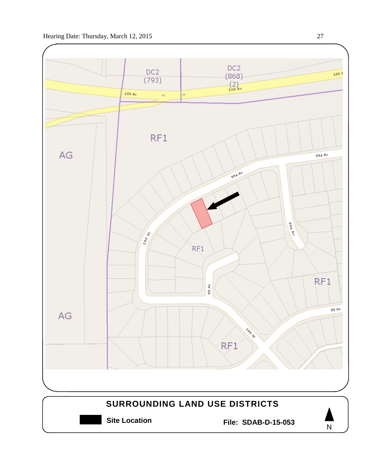